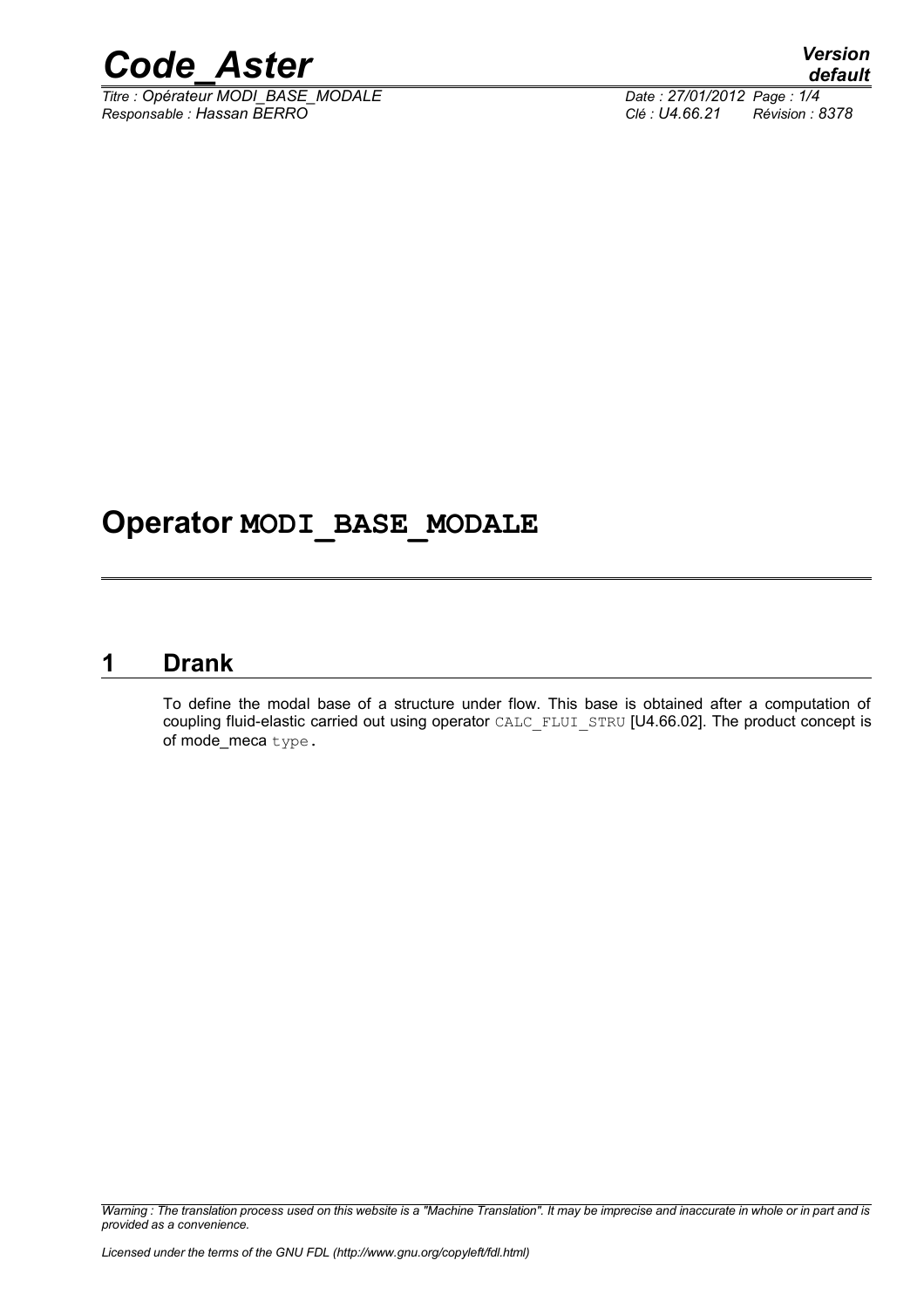

*Titre : Opérateur MODI\_BASE\_MODALE Date : 27/01/2012 Page : 1/4 Responsable : Hassan BERRO Clé : U4.66.21 Révision : 8378*

### **Operator MODI\_BASE\_MODALE**

#### **1 Drank**

<span id="page-0-0"></span>To define the modal base of a structure under flow. This base is obtained after a computation of coupling fluid-elastic carried out using operator CALC\_FLUI\_STRU [U4.66.02]. The product concept is of mode meca type.

*Warning : The translation process used on this website is a "Machine Translation". It may be imprecise and inaccurate in whole or in part and is provided as a convenience.*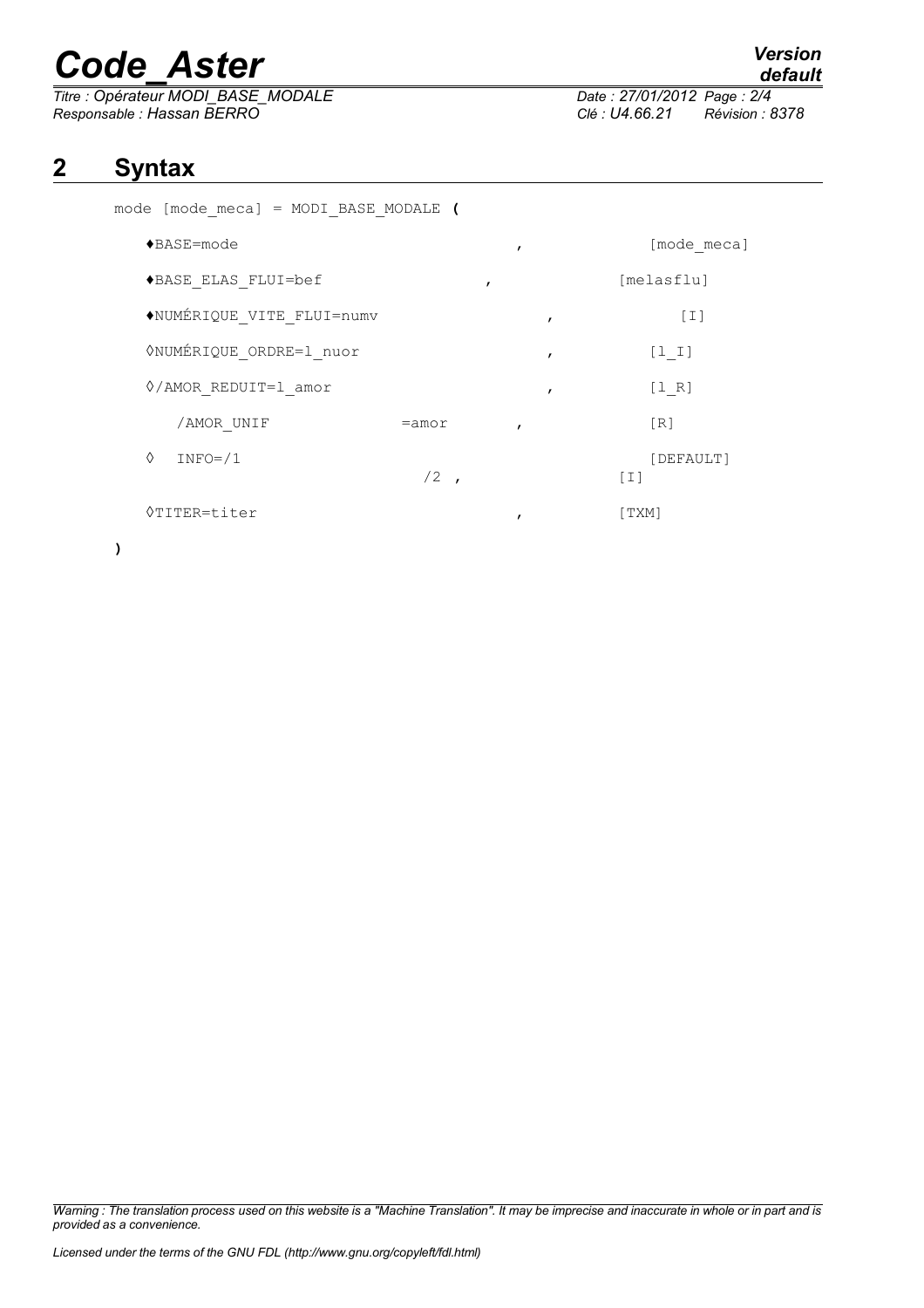# *Code\_Aster Version*

*Titre : Opérateur MODI\_BASE\_MODALE Date : 27/01/2012*<br> *Responsable : Hassan BERRO* Clé : U4.66.21 *Responsable : Hassan BERRO Clé : U4.66.21 Révision : 8378*

### *default*

### **2 Syntax**

mode [mode\_meca] = MODI\_BASE\_MODALE **(**

| $\blacklozenge$ BASE=mode      |          | $\mathbf{r}$ | [mode meca]                    |
|--------------------------------|----------|--------------|--------------------------------|
| ◆BASE ELAS FLUI=bef            |          | $\mathbf{r}$ | [melasflu]                     |
| ◆NUMÉRIQUE VITE FLUI=numv      |          | I            | $[1]$                          |
| <b>ONUMÉRIQUE ORDRE=1 nuor</b> |          | $\mathbf{r}$ | $[1 1]$                        |
| $\sqrt{A}$ MOR REDUIT=1 amor   |          | ,            | [1 R]                          |
| /AMOR UNIF                     | $=$ amor |              | [R]                            |
| ♦<br>$INFO = / 1$              | $/2$ ,   |              | [DEFAULT]<br>$\lceil 1 \rceil$ |
| $\Diamond$ TITER=titer         |          |              | [ TXM]                         |

**)**

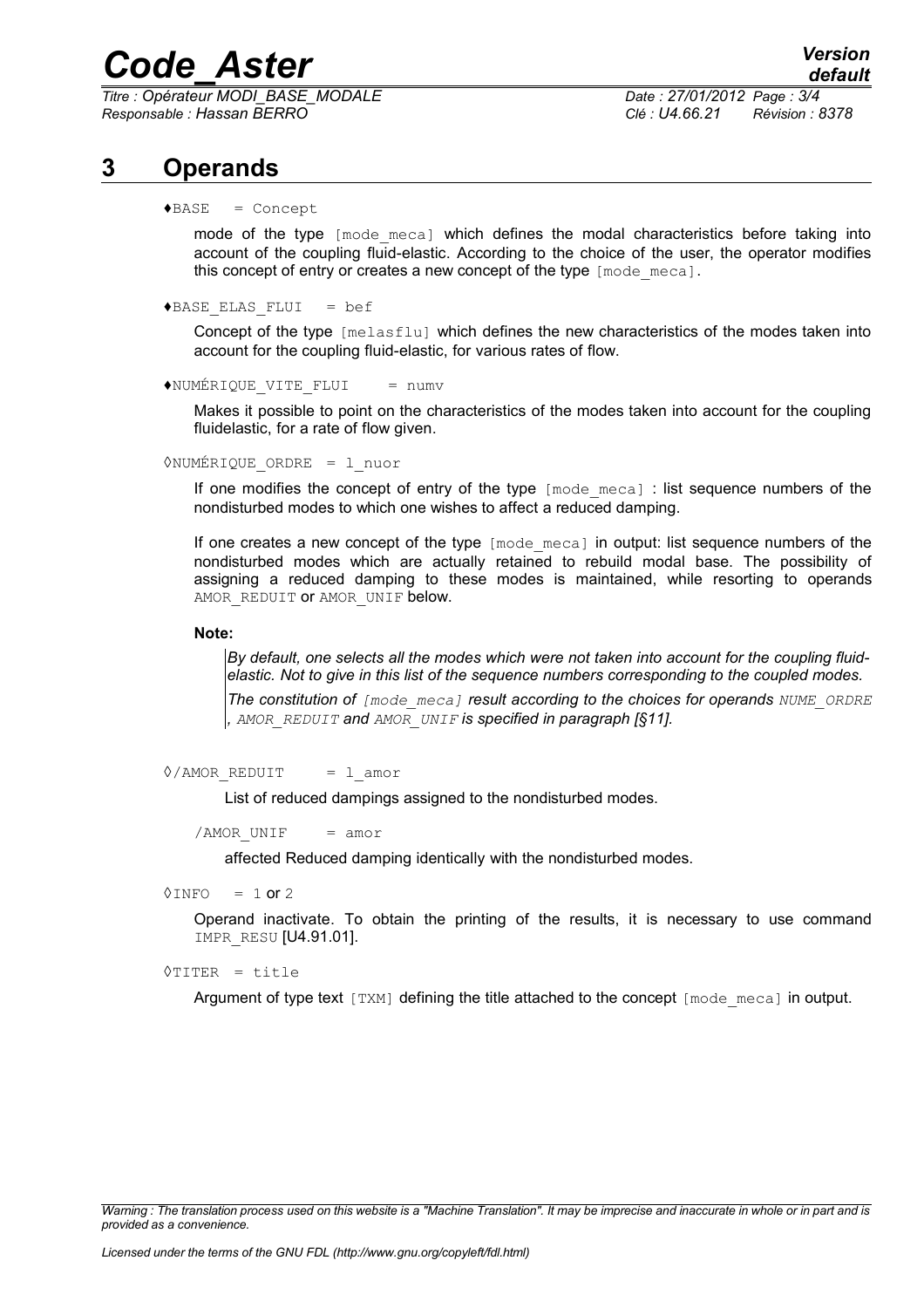## *Code\_Aster Version*

*Titre : Opérateur MODI\_BASE\_MODALE Date : 27/01/2012 Page : 3/4 Responsable : Hassan BERRO Clé : U4.66.21 Révision : 8378*

#### **3 Operands**

 $\triangle$ BASE = Concept

mode of the type  $\lceil \text{mode} \rceil$  which defines the modal characteristics before taking into account of the coupling fluid-elastic. According to the choice of the user, the operator modifies this concept of entry or creates a new concept of the type [mode\_meca].

 $\triangle$ BASE ELAS FLUI = bef

Concept of the type [melasflu] which defines the new characteristics of the modes taken into account for the coupling fluid-elastic, for various rates of flow.

♦NUMÉRIQUE\_VITE\_FLUI = numv

Makes it possible to point on the characteristics of the modes taken into account for the coupling fluidelastic, for a rate of flow given.

◊NUMÉRIQUE\_ORDRE = l\_nuor

If one modifies the concept of entry of the type [mode meca] : list sequence numbers of the nondisturbed modes to which one wishes to affect a reduced damping.

If one creates a new concept of the type [mode meca] in output: list sequence numbers of the nondisturbed modes which are actually retained to rebuild modal base. The possibility of assigning a reduced damping to these modes is maintained, while resorting to operands AMOR REDUIT OT AMOR UNIF below.

#### **Note:**

*By default, one selects all the modes which were not taken into account for the coupling fluidelastic. Not to give in this list of the sequence numbers corresponding to the coupled modes.*

*The constitution of [mode\_meca] result according to the choices for operands NUME\_ORDRE , AMOR\_REDUIT and AMOR\_UNIF is specified in paragraph [§[11\]](#page-0-0).*

 $\Diamond$ /AMOR REDUIT = l amor

List of reduced dampings assigned to the nondisturbed modes.

 $/AMOR$  UNIF = amor

affected Reduced damping identically with the nondisturbed modes.

 $\Diamond$ INFO = 1 or 2

Operand inactivate. To obtain the printing of the results, it is necessary to use command IMPR\_RESU [U4.91.01].

◊TITER = title

Argument of type text  $[TXM]$  defining the title attached to the concept  $[mode \text{ meca}]$  in output.